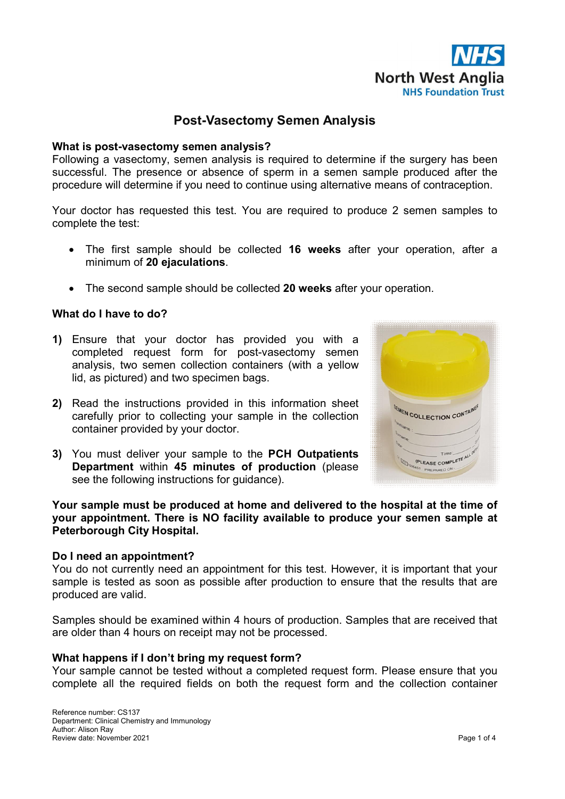

# **Post-Vasectomy Semen Analysis**

### **What is post-vasectomy semen analysis?**

Following a vasectomy, semen analysis is required to determine if the surgery has been successful. The presence or absence of sperm in a semen sample produced after the procedure will determine if you need to continue using alternative means of contraception.

Your doctor has requested this test. You are required to produce 2 semen samples to complete the test:

- The first sample should be collected **16 weeks** after your operation, after a minimum of **20 ejaculations**.
- The second sample should be collected **20 weeks** after your operation.

## **What do I have to do?**

- **1)** Ensure that your doctor has provided you with a completed request form for post-vasectomy semen analysis, two semen collection containers (with a yellow lid, as pictured) and two specimen bags.
- **2)** Read the instructions provided in this information sheet carefully prior to collecting your sample in the collection container provided by your doctor.
- **3)** You must deliver your sample to the **PCH Outpatients Department** within **45 minutes of production** (please see the following instructions for guidance).



**Your sample must be produced at home and delivered to the hospital at the time of your appointment. There is NO facility available to produce your semen sample at Peterborough City Hospital.** 

#### **Do I need an appointment?**

You do not currently need an appointment for this test. However, it is important that your sample is tested as soon as possible after production to ensure that the results that are produced are valid.

Samples should be examined within 4 hours of production. Samples that are received that are older than 4 hours on receipt may not be processed.

#### **What happens if I don't bring my request form?**

Your sample cannot be tested without a completed request form. Please ensure that you complete all the required fields on both the request form and the collection container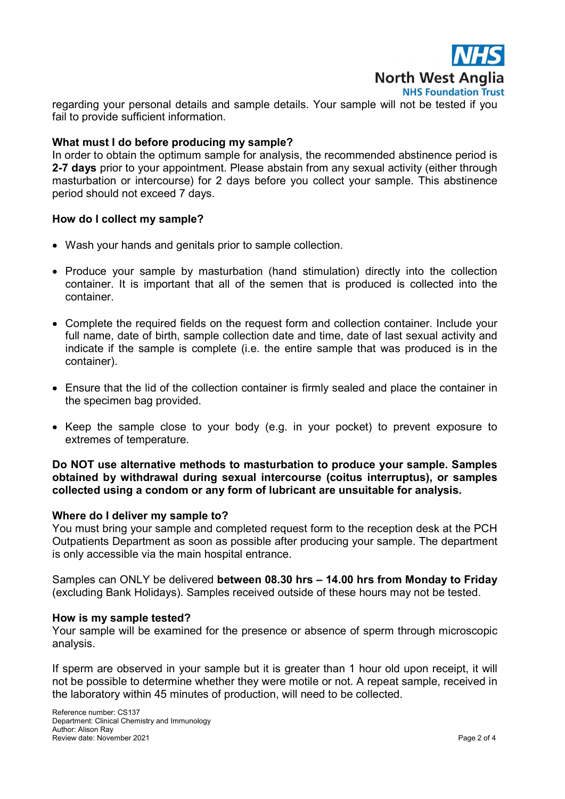

regarding your personal details and sample details. Your sample will not be tested if you fail to provide sufficient information.

## **What must I do before producing my sample?**

In order to obtain the optimum sample for analysis, the recommended abstinence period is **2-7 days** prior to your appointment. Please abstain from any sexual activity (either through masturbation or intercourse) for 2 days before you collect your sample. This abstinence period should not exceed 7 days.

### **How do I collect my sample?**

- Wash your hands and genitals prior to sample collection.
- Produce your sample by masturbation (hand stimulation) directly into the collection container. It is important that all of the semen that is produced is collected into the container.
- Complete the required fields on the request form and collection container. Include your full name, date of birth, sample collection date and time, date of last sexual activity and indicate if the sample is complete (i.e. the entire sample that was produced is in the container).
- Ensure that the lid of the collection container is firmly sealed and place the container in the specimen bag provided.
- Keep the sample close to your body (e.g. in your pocket) to prevent exposure to extremes of temperature.

## **Do NOT use alternative methods to masturbation to produce your sample. Samples obtained by withdrawal during sexual intercourse (coitus interruptus), or samples collected using a condom or any form of lubricant are unsuitable for analysis.**

#### **Where do I deliver my sample to?**

You must bring your sample and completed request form to the reception desk at the PCH Outpatients Department as soon as possible after producing your sample. The department is only accessible via the main hospital entrance.

Samples can ONLY be delivered **between 08.30 hrs – 14.00 hrs from Monday to Friday** (excluding Bank Holidays). Samples received outside of these hours may not be tested.

#### **How is my sample tested?**

Your sample will be examined for the presence or absence of sperm through microscopic analysis.

If sperm are observed in your sample but it is greater than 1 hour old upon receipt, it will not be possible to determine whether they were motile or not. A repeat sample, received in the laboratory within 45 minutes of production, will need to be collected.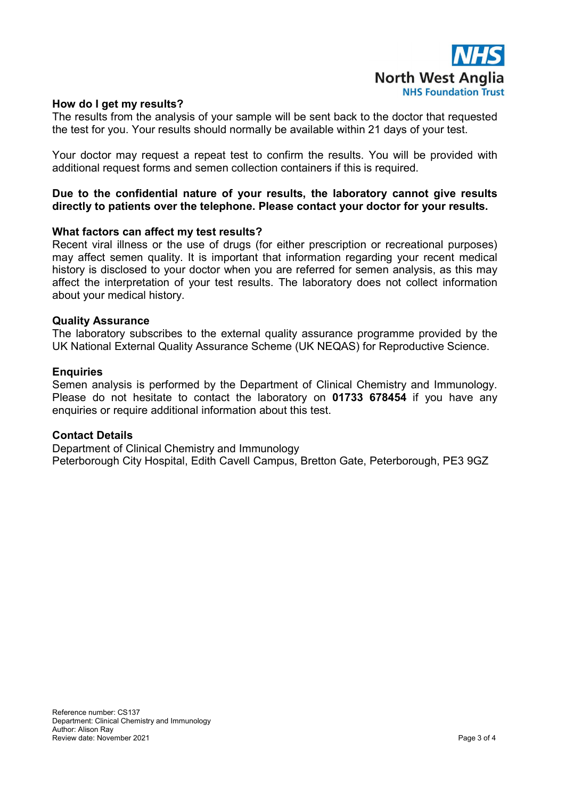

## **How do I get my results?**

The results from the analysis of your sample will be sent back to the doctor that requested the test for you. Your results should normally be available within 21 days of your test.

Your doctor may request a repeat test to confirm the results. You will be provided with additional request forms and semen collection containers if this is required.

## **Due to the confidential nature of your results, the laboratory cannot give results directly to patients over the telephone. Please contact your doctor for your results.**

#### **What factors can affect my test results?**

Recent viral illness or the use of drugs (for either prescription or recreational purposes) may affect semen quality. It is important that information regarding your recent medical history is disclosed to your doctor when you are referred for semen analysis, as this may affect the interpretation of your test results. The laboratory does not collect information about your medical history.

#### **Quality Assurance**

The laboratory subscribes to the external quality assurance programme provided by the UK National External Quality Assurance Scheme (UK NEQAS) for Reproductive Science.

#### **Enquiries**

Semen analysis is performed by the Department of Clinical Chemistry and Immunology. Please do not hesitate to contact the laboratory on **01733 678454** if you have any enquiries or require additional information about this test.

#### **Contact Details**

Department of Clinical Chemistry and Immunology Peterborough City Hospital, Edith Cavell Campus, Bretton Gate, Peterborough, PE3 9GZ